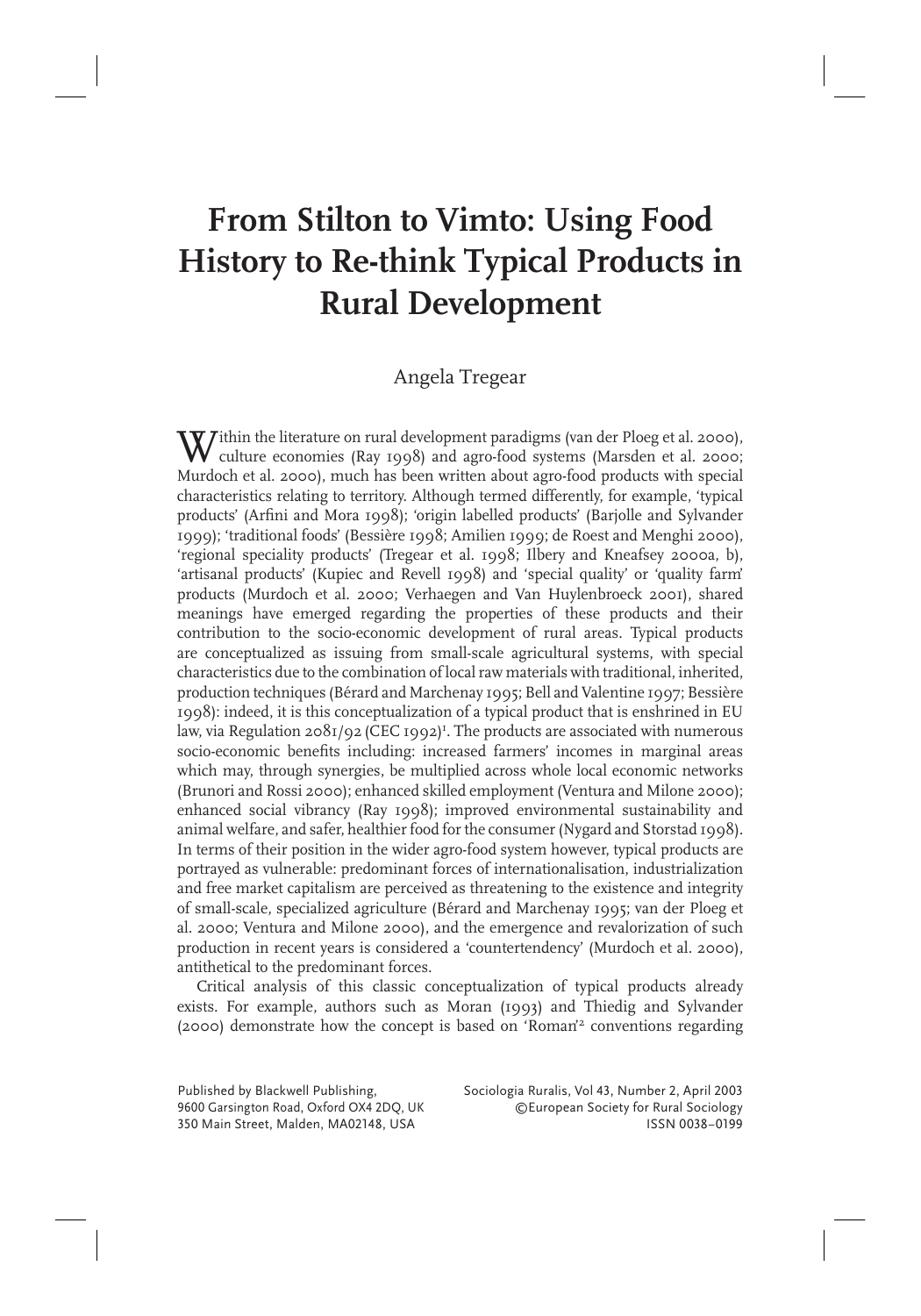# **From Stilton to Vimto: Using Food History to Re-think Typical Products in Rural Development**

# Angela Tregear

Within the literature on rural development paradigms (van der Ploeg et al. 2000), culture economies (Ray 1998) and agro-food systems (Marsden et al. 2000; Murdoch et al. 2000), much has been written about agro-food products with special characteristics relating to territory. Although termed differently, for example, 'typical products' (Arfini and Mora 1998); 'origin labelled products' (Barjolle and Sylvander 1999); 'traditional foods' (Bessière 1998; Amilien 1999; de Roest and Menghi 2000), 'regional speciality products' (Tregear et al. 1998; Ilbery and Kneafsey 2000a, b), 'artisanal products' (Kupiec and Revell 1998) and 'special quality' or 'quality farm' products (Murdoch et al. 2000; Verhaegen and Van Huylenbroeck 2001), shared meanings have emerged regarding the properties of these products and their contribution to the socio-economic development of rural areas. Typical products are conceptualized as issuing from small-scale agricultural systems, with special characteristics due to the combination of local raw materials with traditional, inherited, production techniques (Bérard and Marchenay 1995; Bell and Valentine 1997; Bessière 1998): indeed, it is this conceptualization of a typical product that is enshrined in EU law, via Regulation 2081/92 (CEC 1992)<sup>1</sup>. The products are associated with numerous socio-economic benefits including: increased farmers' incomes in marginal areas which may, through synergies, be multiplied across whole local economic networks (Brunori and Rossi 2000); enhanced skilled employment (Ventura and Milone 2000); enhanced social vibrancy (Ray 1998); improved environmental sustainability and animal welfare, and safer, healthier food for the consumer (Nygard and Storstad 1998). In terms of their position in the wider agro-food system however, typical products are portrayed as vulnerable: predominant forces of internationalisation, industrialization and free market capitalism are perceived as threatening to the existence and integrity of small-scale, specialized agriculture (Bérard and Marchenay 1995; van der Ploeg et al. 2000; Ventura and Milone 2000), and the emergence and revalorization of such production in recent years is considered a 'countertendency' (Murdoch et al. 2000), antithetical to the predominant forces.

Critical analysis of this classic conceptualization of typical products already exists. For example, authors such as Moran (1993) and Thiedig and Sylvander (2000) demonstrate how the concept is based on 'Roman'2 conventions regarding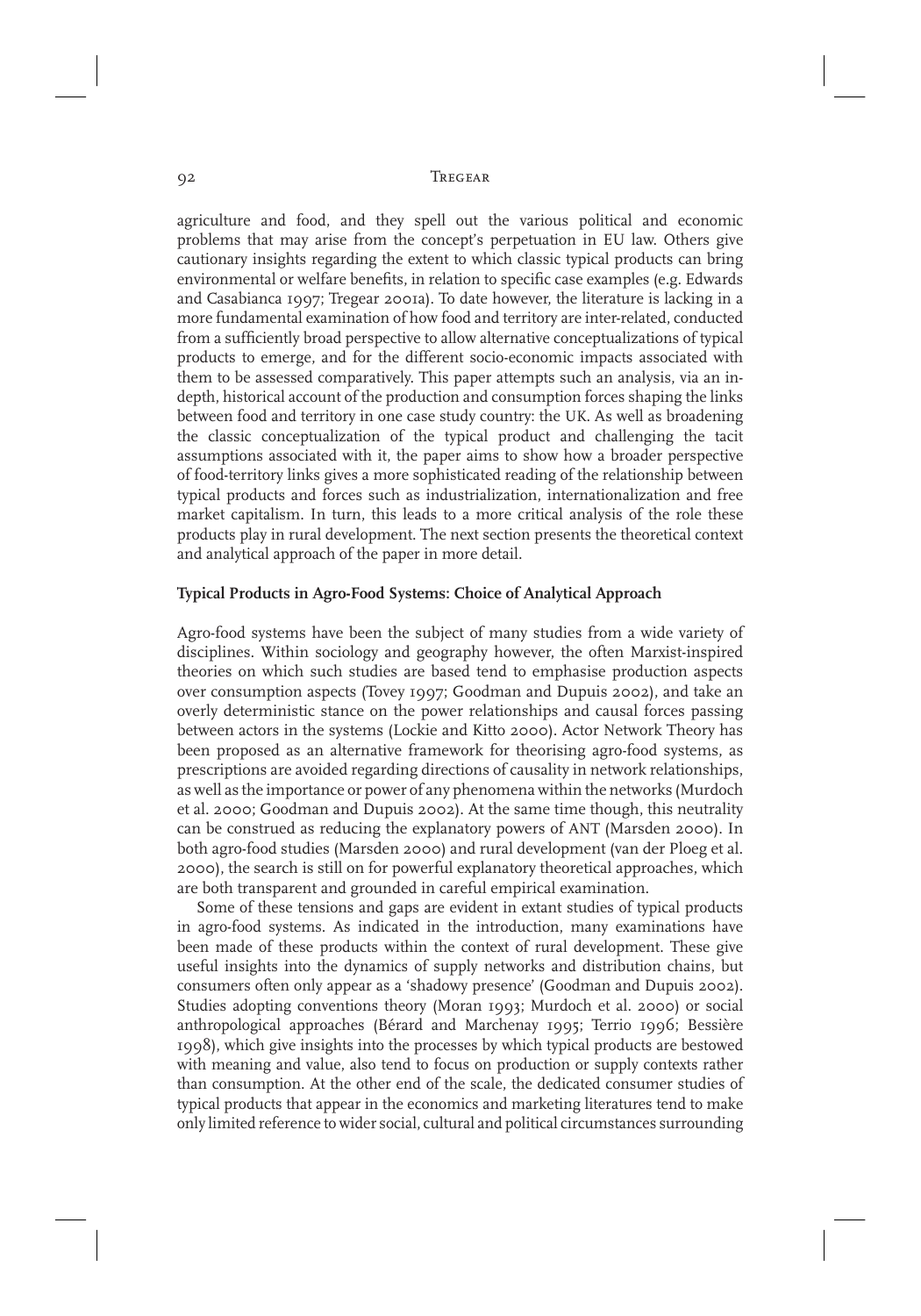agriculture and food, and they spell out the various political and economic problems that may arise from the concept's perpetuation in EU law. Others give cautionary insights regarding the extent to which classic typical products can bring environmental or welfare benefits, in relation to specific case examples (e.g. Edwards and Casabianca 1997; Tregear 2001a). To date however, the literature is lacking in a more fundamental examination of how food and territory are inter-related, conducted from a sufficiently broad perspective to allow alternative conceptualizations of typical products to emerge, and for the different socio-economic impacts associated with them to be assessed comparatively. This paper attempts such an analysis, via an indepth, historical account of the production and consumption forces shaping the links between food and territory in one case study country: the UK. As well as broadening the classic conceptualization of the typical product and challenging the tacit assumptions associated with it, the paper aims to show how a broader perspective of food-territory links gives a more sophisticated reading of the relationship between typical products and forces such as industrialization, internationalization and free market capitalism. In turn, this leads to a more critical analysis of the role these products play in rural development. The next section presents the theoretical context and analytical approach of the paper in more detail.

## **Typical Products in Agro-Food Systems: Choice of Analytical Approach**

Agro-food systems have been the subject of many studies from a wide variety of disciplines. Within sociology and geography however, the often Marxist-inspired theories on which such studies are based tend to emphasise production aspects over consumption aspects (Tovey 1997; Goodman and Dupuis 2002), and take an overly deterministic stance on the power relationships and causal forces passing between actors in the systems (Lockie and Kitto 2000). Actor Network Theory has been proposed as an alternative framework for theorising agro-food systems, as prescriptions are avoided regarding directions of causality in network relationships, as well as the importance or power of any phenomena within the networks (Murdoch et al. 2000; Goodman and Dupuis 2002). At the same time though, this neutrality can be construed as reducing the explanatory powers of ANT (Marsden 2000). In both agro-food studies (Marsden 2000) and rural development (van der Ploeg et al. 2000), the search is still on for powerful explanatory theoretical approaches, which are both transparent and grounded in careful empirical examination.

Some of these tensions and gaps are evident in extant studies of typical products in agro-food systems. As indicated in the introduction, many examinations have been made of these products within the context of rural development. These give useful insights into the dynamics of supply networks and distribution chains, but consumers often only appear as a 'shadowy presence' (Goodman and Dupuis 2002). Studies adopting conventions theory (Moran 1993; Murdoch et al. 2000) or social anthropological approaches (Bérard and Marchenay 1995; Terrio 1996; Bessière 1998), which give insights into the processes by which typical products are bestowed with meaning and value, also tend to focus on production or supply contexts rather than consumption. At the other end of the scale, the dedicated consumer studies of typical products that appear in the economics and marketing literatures tend to make only limited reference to wider social, cultural and political circumstances surrounding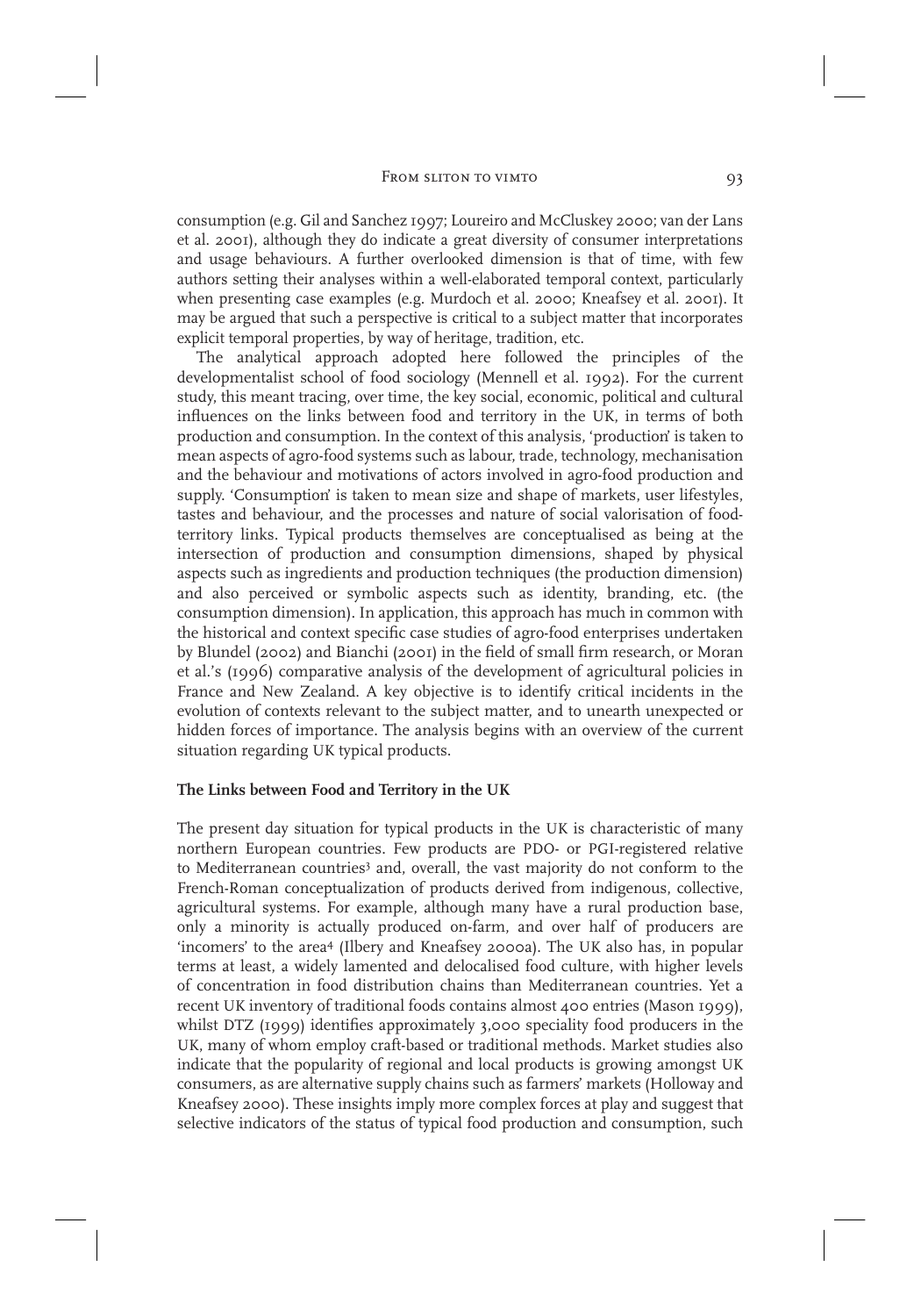consumption (e.g. Gil and Sanchez 1997; Loureiro and McCluskey 2000; van der Lans et al. 2001), although they do indicate a great diversity of consumer interpretations and usage behaviours. A further overlooked dimension is that of time, with few authors setting their analyses within a well-elaborated temporal context, particularly when presenting case examples (e.g. Murdoch et al. 2000; Kneafsey et al. 2001). It may be argued that such a perspective is critical to a subject matter that incorporates explicit temporal properties, by way of heritage, tradition, etc.

The analytical approach adopted here followed the principles of the developmentalist school of food sociology (Mennell et al. 1992). For the current study, this meant tracing, over time, the key social, economic, political and cultural influences on the links between food and territory in the UK, in terms of both production and consumption. In the context of this analysis, 'production' is taken to mean aspects of agro-food systems such as labour, trade, technology, mechanisation and the behaviour and motivations of actors involved in agro-food production and supply. 'Consumption' is taken to mean size and shape of markets, user lifestyles, tastes and behaviour, and the processes and nature of social valorisation of foodterritory links. Typical products themselves are conceptualised as being at the intersection of production and consumption dimensions, shaped by physical aspects such as ingredients and production techniques (the production dimension) and also perceived or symbolic aspects such as identity, branding, etc. (the consumption dimension). In application, this approach has much in common with the historical and context specific case studies of agro-food enterprises undertaken by Blundel (2002) and Bianchi (2001) in the field of small firm research, or Moran et al.'s (1996) comparative analysis of the development of agricultural policies in France and New Zealand. A key objective is to identify critical incidents in the evolution of contexts relevant to the subject matter, and to unearth unexpected or hidden forces of importance. The analysis begins with an overview of the current situation regarding UK typical products.

#### **The Links between Food and Territory in the UK**

The present day situation for typical products in the UK is characteristic of many northern European countries. Few products are PDO- or PGI-registered relative to Mediterranean countries<sup>3</sup> and, overall, the vast majority do not conform to the French-Roman conceptualization of products derived from indigenous, collective, agricultural systems. For example, although many have a rural production base, only a minority is actually produced on-farm, and over half of producers are 'incomers' to the area4 (Ilbery and Kneafsey 2000a). The UK also has, in popular terms at least, a widely lamented and delocalised food culture, with higher levels of concentration in food distribution chains than Mediterranean countries. Yet a recent UK inventory of traditional foods contains almost 400 entries (Mason 1999), whilst DTZ (1999) identifies approximately 3,000 speciality food producers in the UK, many of whom employ craft-based or traditional methods. Market studies also indicate that the popularity of regional and local products is growing amongst UK consumers, as are alternative supply chains such as farmers' markets (Holloway and Kneafsey 2000). These insights imply more complex forces at play and suggest that selective indicators of the status of typical food production and consumption, such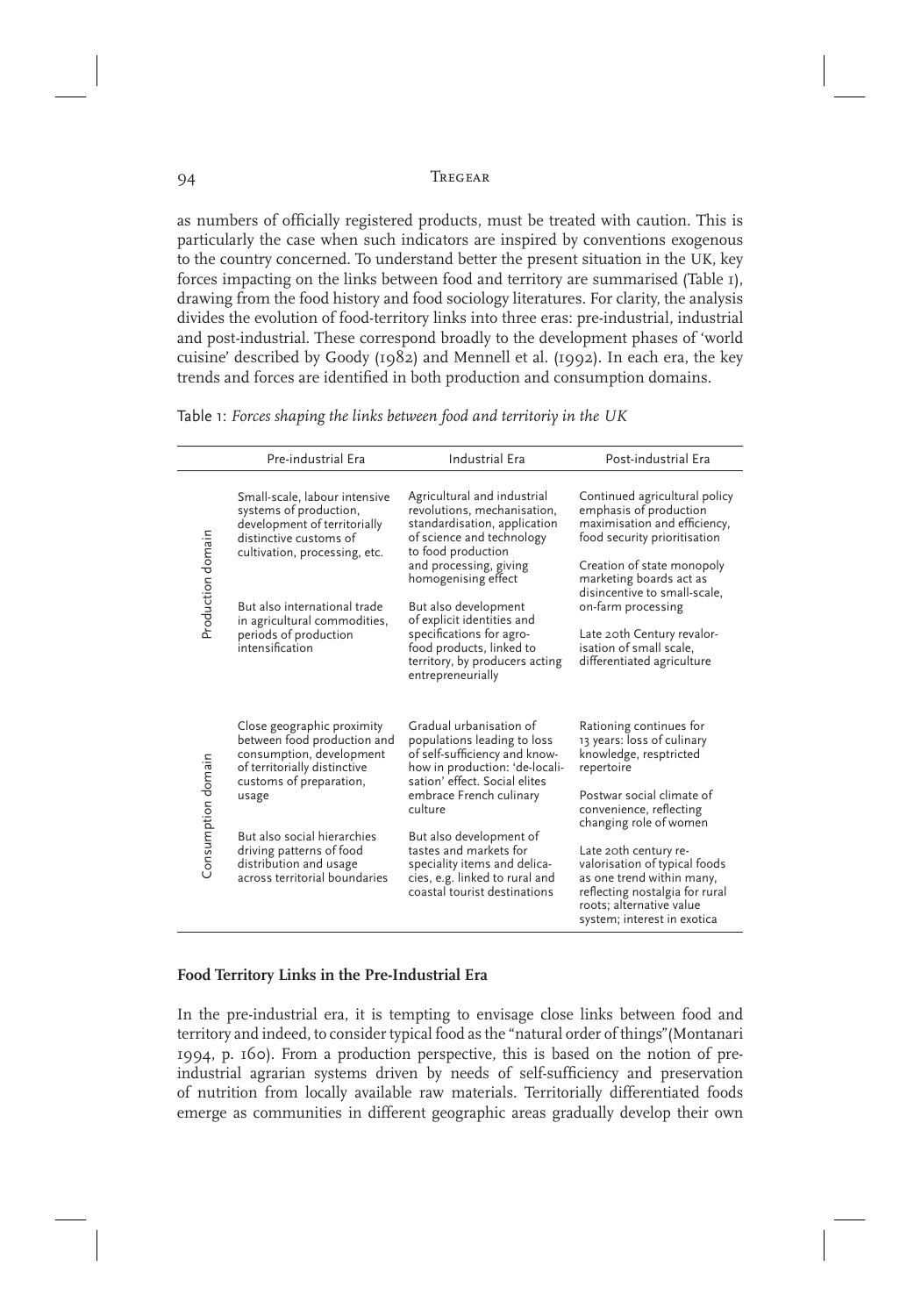as numbers of officially registered products, must be treated with caution. This is particularly the case when such indicators are inspired by conventions exogenous to the country concerned. To understand better the present situation in the UK, key forces impacting on the links between food and territory are summarised (Table 1), drawing from the food history and food sociology literatures. For clarity, the analysis divides the evolution of food-territory links into three eras: pre-industrial, industrial and post-industrial. These correspond broadly to the development phases of 'world cuisine' described by Goody (1982) and Mennell et al. (1992). In each era, the key trends and forces are identified in both production and consumption domains.

|                    | Pre-industrial Era                                                                                                                                 | <b>Industrial Era</b>                                                                                                                                                   | Post-industrial Era                                                                                                                                                              |
|--------------------|----------------------------------------------------------------------------------------------------------------------------------------------------|-------------------------------------------------------------------------------------------------------------------------------------------------------------------------|----------------------------------------------------------------------------------------------------------------------------------------------------------------------------------|
| Production domain  | Small-scale, labour intensive<br>systems of production,<br>development of territorially<br>distinctive customs of<br>cultivation, processing, etc. | Agricultural and industrial<br>revolutions, mechanisation,<br>standardisation, application<br>of science and technology<br>to food production<br>and processing, giving | Continued agricultural policy<br>emphasis of production<br>maximisation and efficiency,<br>food security prioritisation<br>Creation of state monopoly                            |
|                    | But also international trade<br>in agricultural commodities,                                                                                       | homogenising effect<br>But also development<br>of explicit identities and                                                                                               | marketing boards act as<br>disincentive to small-scale,<br>on-farm processing                                                                                                    |
|                    | periods of production<br>intensification                                                                                                           | specifications for agro-<br>food products, linked to<br>territory, by producers acting<br>entrepreneurially                                                             | Late 20th Century revalor-<br>isation of small scale,<br>differentiated agriculture                                                                                              |
| Consumption domain | Close geographic proximity<br>between food production and<br>consumption, development<br>of territorially distinctive<br>customs of preparation,   | Gradual urbanisation of<br>populations leading to loss<br>of self-sufficiency and know-<br>how in production: 'de-locali-<br>sation' effect. Social elites              | Rationing continues for<br>13 years: loss of culinary<br>knowledge, resptricted<br>repertoire                                                                                    |
|                    | usage<br>But also social hierarchies                                                                                                               | embrace French culinary<br>culture<br>But also development of                                                                                                           | Postwar social climate of<br>convenience, reflecting<br>changing role of women                                                                                                   |
|                    | driving patterns of food<br>distribution and usage<br>across territorial boundaries                                                                | tastes and markets for<br>speciality items and delica-<br>cies, e.g. linked to rural and<br>coastal tourist destinations                                                | Late 20th century re-<br>valorisation of typical foods<br>as one trend within many,<br>reflecting nostalgia for rural<br>roots; alternative value<br>system; interest in exotica |

Table 1: *Forces shaping the links between food and territoriy in the UK*

# **Food Territory Links in the Pre-Industrial Era**

In the pre-industrial era, it is tempting to envisage close links between food and territory and indeed, to consider typical food as the "natural order of things"(Montanari 1994, p. 160). From a production perspective, this is based on the notion of preindustrial agrarian systems driven by needs of self-sufficiency and preservation of nutrition from locally available raw materials. Territorially differentiated foods emerge as communities in different geographic areas gradually develop their own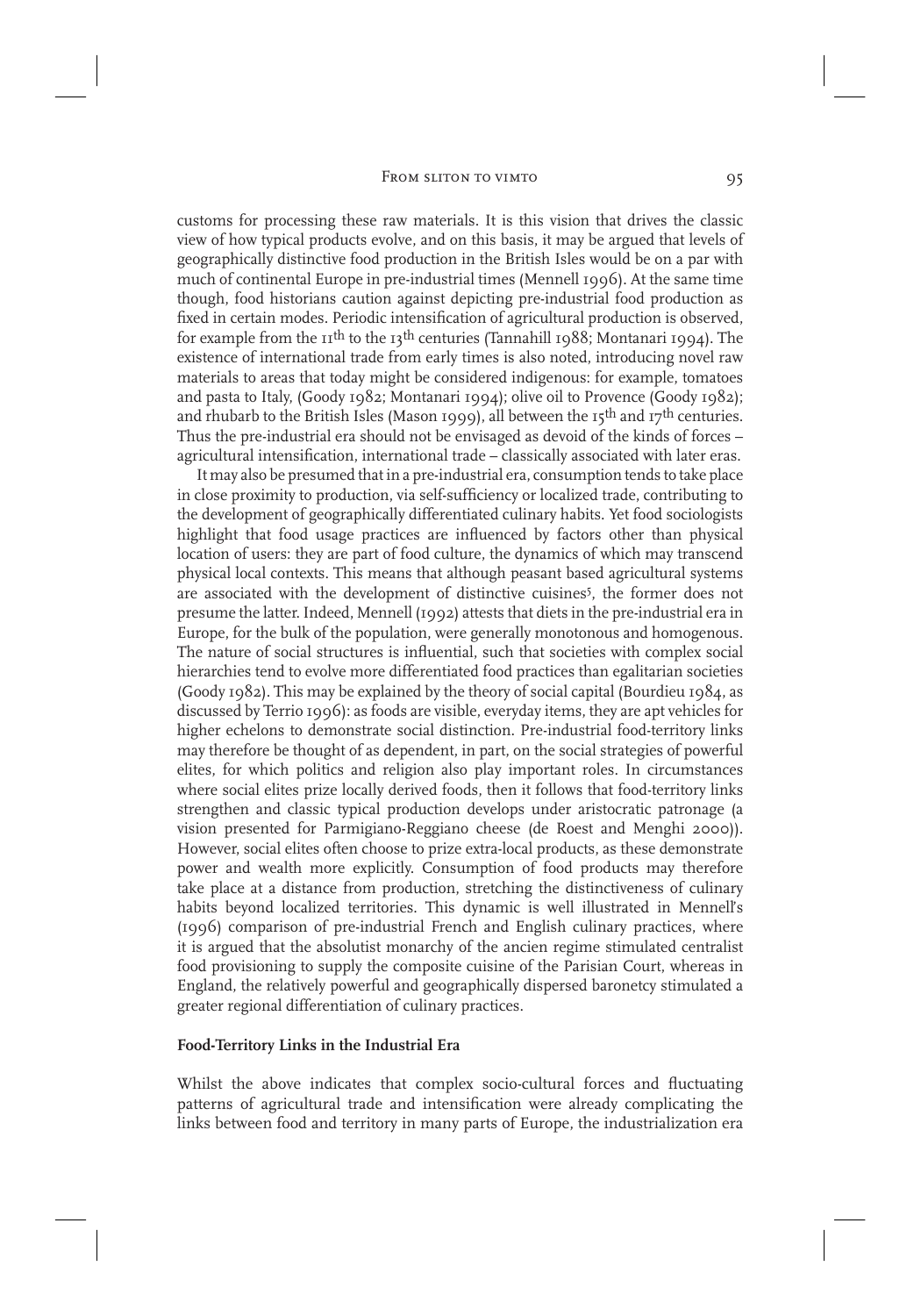customs for processing these raw materials. It is this vision that drives the classic view of how typical products evolve, and on this basis, it may be argued that levels of geographically distinctive food production in the British Isles would be on a par with much of continental Europe in pre-industrial times (Mennell 1996). At the same time though, food historians caution against depicting pre-industrial food production as fixed in certain modes. Periodic intensification of agricultural production is observed, for example from the  $11<sup>th</sup>$  to the  $13<sup>th</sup>$  centuries (Tannahill 1988; Montanari 1994). The existence of international trade from early times is also noted, introducing novel raw materials to areas that today might be considered indigenous: for example, tomatoes and pasta to Italy, (Goody 1982; Montanari 1994); olive oil to Provence (Goody 1982); and rhubarb to the British Isles (Mason 1999), all between the 15<sup>th</sup> and 17<sup>th</sup> centuries. Thus the pre-industrial era should not be envisaged as devoid of the kinds of forces – agricultural intensification, international trade – classically associated with later eras.

It may also be presumed that in a pre-industrial era, consumption tends to take place in close proximity to production, via self-sufficiency or localized trade, contributing to the development of geographically differentiated culinary habits. Yet food sociologists highlight that food usage practices are influenced by factors other than physical location of users: they are part of food culture, the dynamics of which may transcend physical local contexts. This means that although peasant based agricultural systems are associated with the development of distinctive cuisines<sup>5</sup>, the former does not presume the latter. Indeed, Mennell (1992) attests that diets in the pre-industrial era in Europe, for the bulk of the population, were generally monotonous and homogenous. The nature of social structures is influential, such that societies with complex social hierarchies tend to evolve more differentiated food practices than egalitarian societies (Goody 1982). This may be explained by the theory of social capital (Bourdieu 1984, as discussed by Terrio 1996): as foods are visible, everyday items, they are apt vehicles for higher echelons to demonstrate social distinction. Pre-industrial food-territory links may therefore be thought of as dependent, in part, on the social strategies of powerful elites, for which politics and religion also play important roles. In circumstances where social elites prize locally derived foods, then it follows that food-territory links strengthen and classic typical production develops under aristocratic patronage (a vision presented for Parmigiano-Reggiano cheese (de Roest and Menghi 2000)). However, social elites often choose to prize extra-local products, as these demonstrate power and wealth more explicitly. Consumption of food products may therefore take place at a distance from production, stretching the distinctiveness of culinary habits beyond localized territories. This dynamic is well illustrated in Mennell's (1996) comparison of pre-industrial French and English culinary practices, where it is argued that the absolutist monarchy of the ancien regime stimulated centralist food provisioning to supply the composite cuisine of the Parisian Court, whereas in England, the relatively powerful and geographically dispersed baronetcy stimulated a greater regional differentiation of culinary practices.

## **Food-Territory Links in the Industrial Era**

Whilst the above indicates that complex socio-cultural forces and fluctuating patterns of agricultural trade and intensification were already complicating the links between food and territory in many parts of Europe, the industrialization era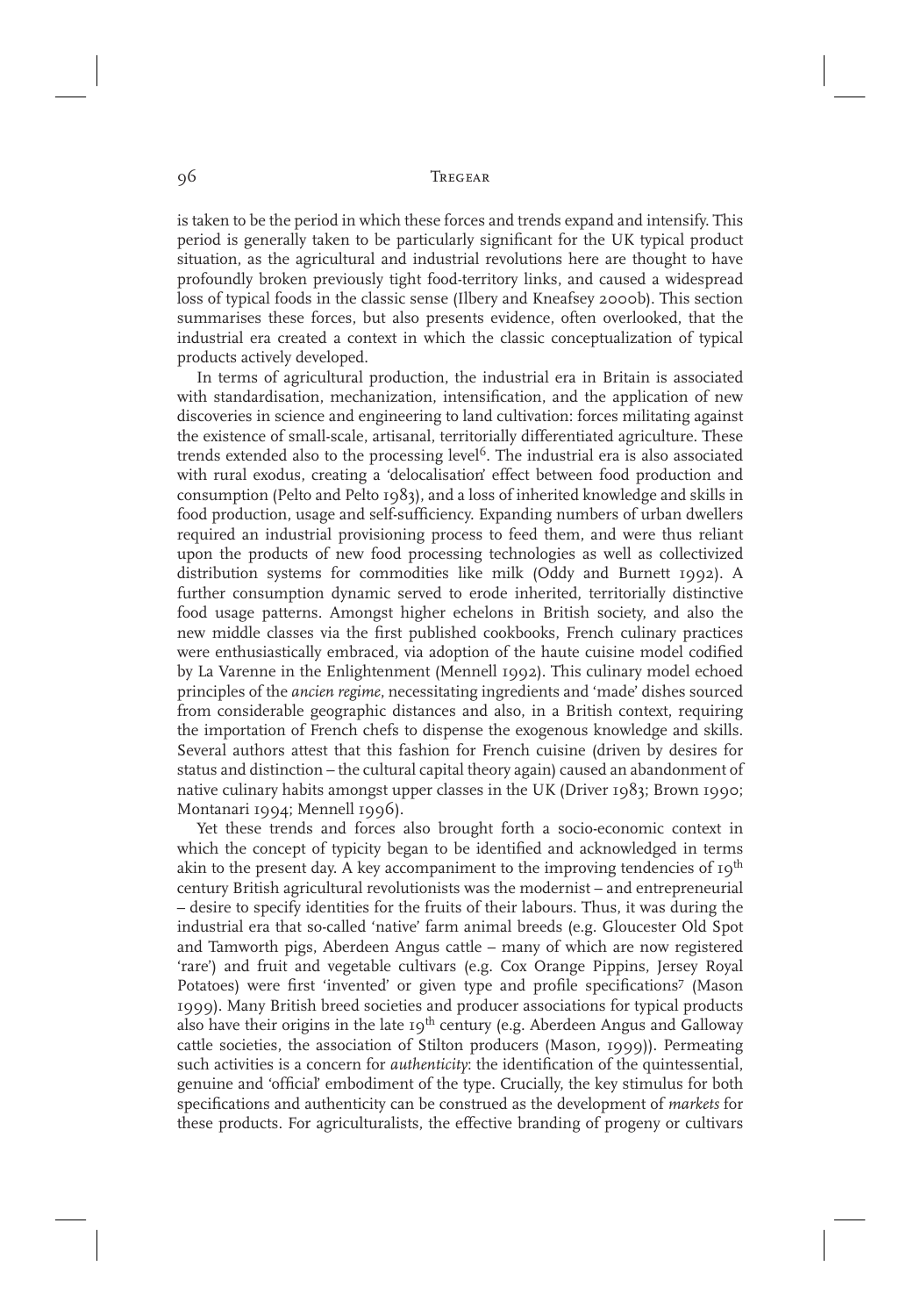is taken to be the period in which these forces and trends expand and intensify. This period is generally taken to be particularly significant for the UK typical product situation, as the agricultural and industrial revolutions here are thought to have profoundly broken previously tight food-territory links, and caused a widespread loss of typical foods in the classic sense (Ilbery and Kneafsey 2000b). This section summarises these forces, but also presents evidence, often overlooked, that the industrial era created a context in which the classic conceptualization of typical products actively developed.

In terms of agricultural production, the industrial era in Britain is associated with standardisation, mechanization, intensification, and the application of new discoveries in science and engineering to land cultivation: forces militating against the existence of small-scale, artisanal, territorially differentiated agriculture. These trends extended also to the processing level<sup>6</sup>. The industrial era is also associated with rural exodus, creating a 'delocalisation' effect between food production and consumption (Pelto and Pelto 1983), and a loss of inherited knowledge and skills in food production, usage and self-sufficiency. Expanding numbers of urban dwellers required an industrial provisioning process to feed them, and were thus reliant upon the products of new food processing technologies as well as collectivized distribution systems for commodities like milk (Oddy and Burnett 1992). A further consumption dynamic served to erode inherited, territorially distinctive food usage patterns. Amongst higher echelons in British society, and also the new middle classes via the first published cookbooks, French culinary practices were enthusiastically embraced, via adoption of the haute cuisine model codified by La Varenne in the Enlightenment (Mennell 1992). This culinary model echoed principles of the *ancien regime*, necessitating ingredients and 'made' dishes sourced from considerable geographic distances and also, in a British context, requiring the importation of French chefs to dispense the exogenous knowledge and skills. Several authors attest that this fashion for French cuisine (driven by desires for status and distinction – the cultural capital theory again) caused an abandonment of native culinary habits amongst upper classes in the UK (Driver 1983; Brown 1990; Montanari 1994; Mennell 1996).

Yet these trends and forces also brought forth a socio-economic context in which the concept of typicity began to be identified and acknowledged in terms akin to the present day. A key accompaniment to the improving tendencies of  $I9<sup>th</sup>$ century British agricultural revolutionists was the modernist – and entrepreneurial – desire to specify identities for the fruits of their labours. Thus, it was during the industrial era that so-called 'native' farm animal breeds (e.g. Gloucester Old Spot and Tamworth pigs, Aberdeen Angus cattle – many of which are now registered 'rare') and fruit and vegetable cultivars (e.g. Cox Orange Pippins, Jersey Royal Potatoes) were first 'invented' or given type and profile specifications<sup>7</sup> (Mason 1999). Many British breed societies and producer associations for typical products also have their origins in the late 19<sup>th</sup> century (e.g. Aberdeen Angus and Galloway cattle societies, the association of Stilton producers (Mason, 1999)). Permeating such activities is a concern for *authenticity*: the identification of the quintessential, genuine and 'official' embodiment of the type. Crucially, the key stimulus for both specifications and authenticity can be construed as the development of *markets* for these products. For agriculturalists, the effective branding of progeny or cultivars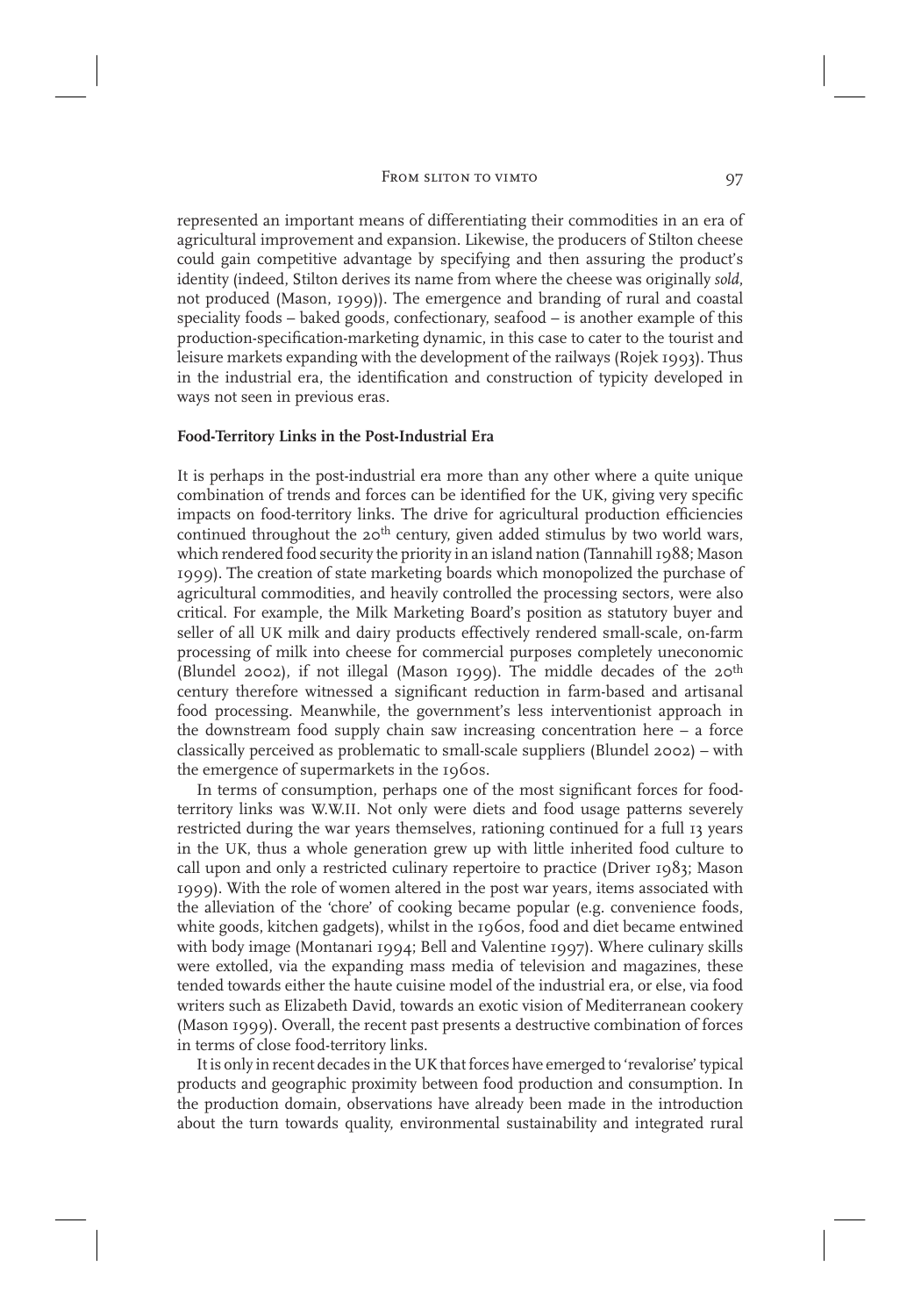represented an important means of differentiating their commodities in an era of agricultural improvement and expansion. Likewise, the producers of Stilton cheese could gain competitive advantage by specifying and then assuring the product's identity (indeed, Stilton derives its name from where the cheese was originally *sold*, not produced (Mason, 1999)). The emergence and branding of rural and coastal speciality foods – baked goods, confectionary, seafood – is another example of this production-specification-marketing dynamic, in this case to cater to the tourist and leisure markets expanding with the development of the railways (Rojek 1993). Thus in the industrial era, the identification and construction of typicity developed in ways not seen in previous eras.

### **Food-Territory Links in the Post-Industrial Era**

It is perhaps in the post-industrial era more than any other where a quite unique combination of trends and forces can be identified for the UK, giving very specific impacts on food-territory links. The drive for agricultural production efficiencies continued throughout the 20<sup>th</sup> century, given added stimulus by two world wars, which rendered food security the priority in an island nation (Tannahill 1988; Mason 1999). The creation of state marketing boards which monopolized the purchase of agricultural commodities, and heavily controlled the processing sectors, were also critical. For example, the Milk Marketing Board's position as statutory buyer and seller of all UK milk and dairy products effectively rendered small-scale, on-farm processing of milk into cheese for commercial purposes completely uneconomic (Blundel 2002), if not illegal (Mason 1999). The middle decades of the  $20<sup>th</sup>$ century therefore witnessed a significant reduction in farm-based and artisanal food processing. Meanwhile, the government's less interventionist approach in the downstream food supply chain saw increasing concentration here – a force classically perceived as problematic to small-scale suppliers (Blundel 2002) – with the emergence of supermarkets in the 1960s.

In terms of consumption, perhaps one of the most significant forces for foodterritory links was W.W.II. Not only were diets and food usage patterns severely restricted during the war years themselves, rationing continued for a full 13 years in the UK, thus a whole generation grew up with little inherited food culture to call upon and only a restricted culinary repertoire to practice (Driver 1983; Mason 1999). With the role of women altered in the post war years, items associated with the alleviation of the 'chore' of cooking became popular (e.g. convenience foods, white goods, kitchen gadgets), whilst in the 1960s, food and diet became entwined with body image (Montanari 1994; Bell and Valentine 1997). Where culinary skills were extolled, via the expanding mass media of television and magazines, these tended towards either the haute cuisine model of the industrial era, or else, via food writers such as Elizabeth David, towards an exotic vision of Mediterranean cookery (Mason 1999). Overall, the recent past presents a destructive combination of forces in terms of close food-territory links.

It is only in recent decades in the UK that forces have emerged to 'revalorise' typical products and geographic proximity between food production and consumption. In the production domain, observations have already been made in the introduction about the turn towards quality, environmental sustainability and integrated rural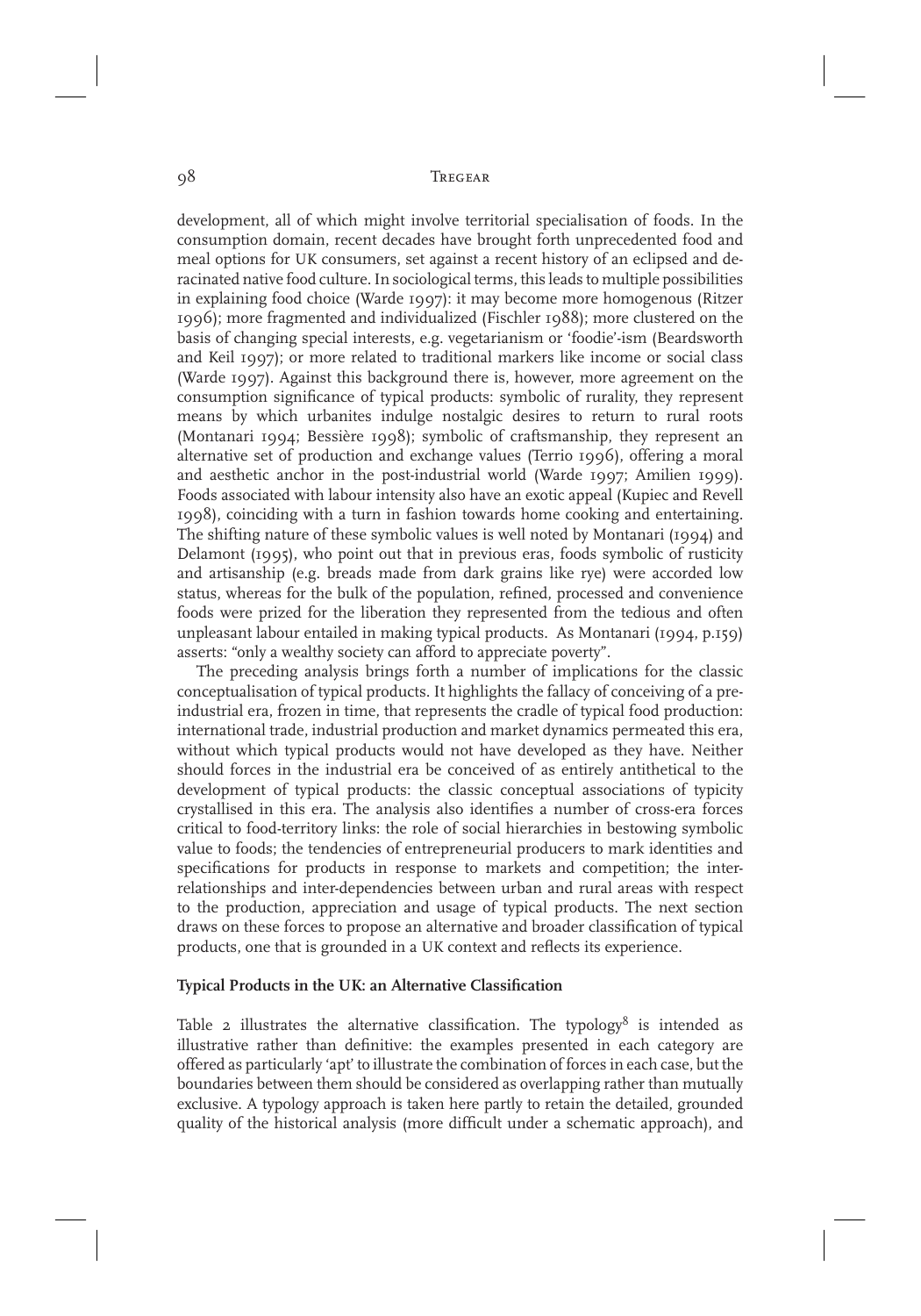development, all of which might involve territorial specialisation of foods. In the consumption domain, recent decades have brought forth unprecedented food and meal options for UK consumers, set against a recent history of an eclipsed and deracinated native food culture. In sociological terms, this leads to multiple possibilities in explaining food choice (Warde 1997): it may become more homogenous (Ritzer 1996); more fragmented and individualized (Fischler 1988); more clustered on the basis of changing special interests, e.g. vegetarianism or 'foodie'-ism (Beardsworth and Keil 1997); or more related to traditional markers like income or social class (Warde 1997). Against this background there is, however, more agreement on the consumption significance of typical products: symbolic of rurality, they represent means by which urbanites indulge nostalgic desires to return to rural roots (Montanari 1994; Bessière 1998); symbolic of craftsmanship, they represent an alternative set of production and exchange values (Terrio 1996), offering a moral and aesthetic anchor in the post-industrial world (Warde 1997; Amilien 1999). Foods associated with labour intensity also have an exotic appeal (Kupiec and Revell 1998), coinciding with a turn in fashion towards home cooking and entertaining. The shifting nature of these symbolic values is well noted by Montanari (1994) and Delamont (1995), who point out that in previous eras, foods symbolic of rusticity and artisanship (e.g. breads made from dark grains like rye) were accorded low status, whereas for the bulk of the population, refined, processed and convenience foods were prized for the liberation they represented from the tedious and often unpleasant labour entailed in making typical products. As Montanari (1994, p.159) asserts: "only a wealthy society can afford to appreciate poverty".

The preceding analysis brings forth a number of implications for the classic conceptualisation of typical products. It highlights the fallacy of conceiving of a preindustrial era, frozen in time, that represents the cradle of typical food production: international trade, industrial production and market dynamics permeated this era, without which typical products would not have developed as they have. Neither should forces in the industrial era be conceived of as entirely antithetical to the development of typical products: the classic conceptual associations of typicity crystallised in this era. The analysis also identifies a number of cross-era forces critical to food-territory links: the role of social hierarchies in bestowing symbolic value to foods; the tendencies of entrepreneurial producers to mark identities and specifications for products in response to markets and competition; the interrelationships and inter-dependencies between urban and rural areas with respect to the production, appreciation and usage of typical products. The next section draws on these forces to propose an alternative and broader classification of typical products, one that is grounded in a UK context and reflects its experience.

# **Typical Products in the UK: an Alternative Classification**

Table 2 illustrates the alternative classification. The typology<sup>8</sup> is intended as illustrative rather than definitive: the examples presented in each category are offered as particularly 'apt' to illustrate the combination of forces in each case, but the boundaries between them should be considered as overlapping rather than mutually exclusive. A typology approach is taken here partly to retain the detailed, grounded quality of the historical analysis (more difficult under a schematic approach), and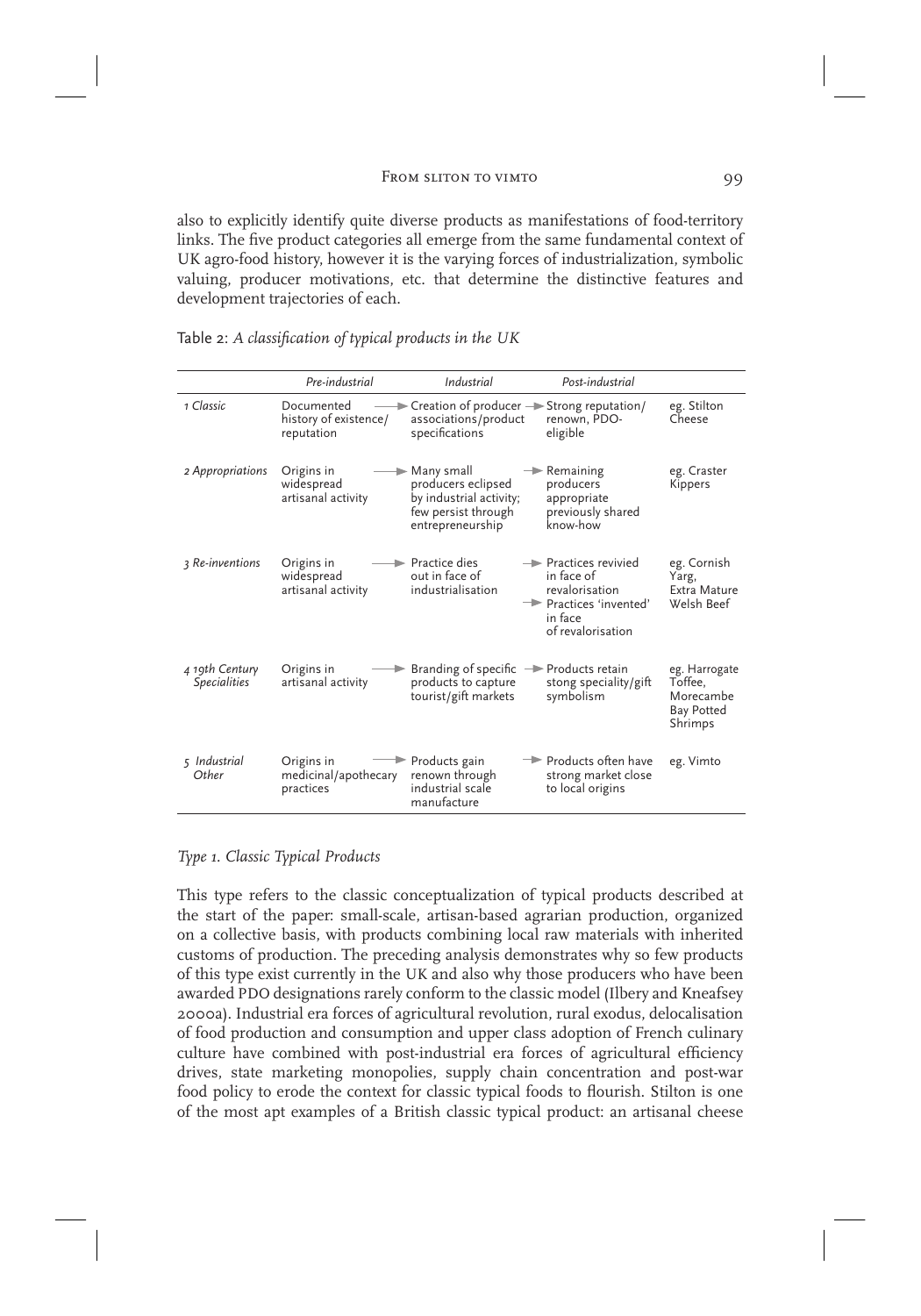also to explicitly identify quite diverse products as manifestations of food-territory links. The five product categories all emerge from the same fundamental context of UK agro-food history, however it is the varying forces of industrialization, symbolic valuing, producer motivations, etc. that determine the distinctive features and development trajectories of each.

|                                       | Pre-industrial                                    | Industrial                                                                                             | Post-industrial                                                                                                     |                                                                       |
|---------------------------------------|---------------------------------------------------|--------------------------------------------------------------------------------------------------------|---------------------------------------------------------------------------------------------------------------------|-----------------------------------------------------------------------|
| 1 Classic                             | Documented<br>history of existence/<br>reputation | Creation of producer $\rightarrow$<br>associations/product<br>specifications                           | Strong reputation/<br>renown, PDO-<br>eligible                                                                      | eg. Stilton<br>Cheese                                                 |
| 2 Appropriations                      | Origins in<br>widespread<br>artisanal activity    | Many small<br>producers eclipsed<br>by industrial activity;<br>few persist through<br>entrepreneurship | Remaining<br>producers<br>appropriate<br>previously shared<br>know-how                                              | eg. Craster<br>Kippers                                                |
| 3 Re-inventions                       | Origins in<br>widespread<br>artisanal activity    | Practice dies<br>out in face of<br>industrialisation                                                   | Practices revivied<br>in face of<br>revalorisation<br><b>T</b> Practices 'invented'<br>in face<br>of revalorisation | eg. Cornish<br>Yarg,<br>Extra Mature<br>Welsh Beef                    |
| 4 19th Century<br><b>Specialities</b> | Origins in<br>artisanal activity                  | Branding of specific<br>products to capture<br>tourist/gift markets                                    | $\rightarrow$ Products retain<br>stong speciality/gift<br>symbolism                                                 | eg. Harrogate<br>Toffee.<br>Morecambe<br><b>Bay Potted</b><br>Shrimps |
| 5 Industrial<br>Other                 | Origins in<br>medicinal/apothecary<br>practices   | Products gain<br>renown through<br>industrial scale<br>manufacture                                     | Products often have<br>strong market close<br>to local origins                                                      | eg. Vimto                                                             |

Table 2: *A classification of typical products in the UK*

# *Type 1. Classic Typical Products*

This type refers to the classic conceptualization of typical products described at the start of the paper: small-scale, artisan-based agrarian production, organized on a collective basis, with products combining local raw materials with inherited customs of production. The preceding analysis demonstrates why so few products of this type exist currently in the UK and also why those producers who have been awarded PDO designations rarely conform to the classic model (Ilbery and Kneafsey 2000a). Industrial era forces of agricultural revolution, rural exodus, delocalisation of food production and consumption and upper class adoption of French culinary culture have combined with post-industrial era forces of agricultural efficiency drives, state marketing monopolies, supply chain concentration and post-war food policy to erode the context for classic typical foods to flourish. Stilton is one of the most apt examples of a British classic typical product: an artisanal cheese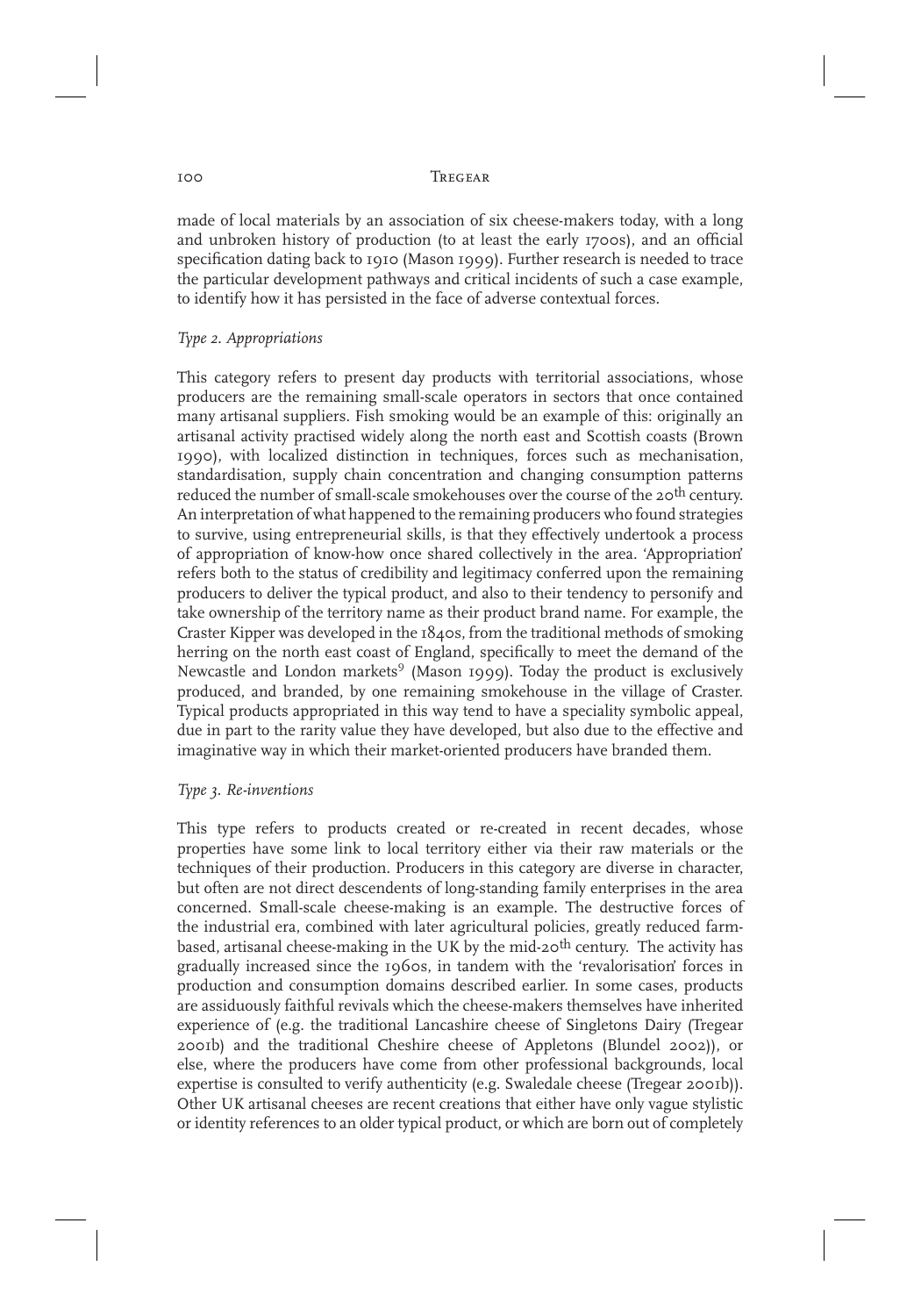made of local materials by an association of six cheese-makers today, with a long and unbroken history of production (to at least the early 1700s), and an official specification dating back to 1910 (Mason 1999). Further research is needed to trace the particular development pathways and critical incidents of such a case example, to identify how it has persisted in the face of adverse contextual forces.

# *Type 2. Appropriations*

This category refers to present day products with territorial associations, whose producers are the remaining small-scale operators in sectors that once contained many artisanal suppliers. Fish smoking would be an example of this: originally an artisanal activity practised widely along the north east and Scottish coasts (Brown 1990), with localized distinction in techniques, forces such as mechanisation, standardisation, supply chain concentration and changing consumption patterns reduced the number of small-scale smokehouses over the course of the 20th century. An interpretation of what happened to the remaining producers who found strategies to survive, using entrepreneurial skills, is that they effectively undertook a process of appropriation of know-how once shared collectively in the area. 'Appropriation' refers both to the status of credibility and legitimacy conferred upon the remaining producers to deliver the typical product, and also to their tendency to personify and take ownership of the territory name as their product brand name. For example, the Craster Kipper was developed in the  $184$  os, from the traditional methods of smoking herring on the north east coast of England, specifically to meet the demand of the Newcastle and London markets<sup>9</sup> (Mason 1999). Today the product is exclusively produced, and branded, by one remaining smokehouse in the village of Craster. Typical products appropriated in this way tend to have a speciality symbolic appeal, due in part to the rarity value they have developed, but also due to the effective and imaginative way in which their market-oriented producers have branded them.

## *Type 3. Re-inventions*

This type refers to products created or re-created in recent decades, whose properties have some link to local territory either via their raw materials or the techniques of their production. Producers in this category are diverse in character, but often are not direct descendents of long-standing family enterprises in the area concerned. Small-scale cheese-making is an example. The destructive forces of the industrial era, combined with later agricultural policies, greatly reduced farmbased, artisanal cheese-making in the UK by the mid-20th century. The activity has gradually increased since the 1960s, in tandem with the 'revalorisation' forces in production and consumption domains described earlier. In some cases, products are assiduously faithful revivals which the cheese-makers themselves have inherited experience of (e.g. the traditional Lancashire cheese of Singletons Dairy (Tregear 2001b) and the traditional Cheshire cheese of Appletons (Blundel 2002)), or else, where the producers have come from other professional backgrounds, local expertise is consulted to verify authenticity (e.g. Swaledale cheese (Tregear 2001b)). Other UK artisanal cheeses are recent creations that either have only vague stylistic or identity references to an older typical product, or which are born out of completely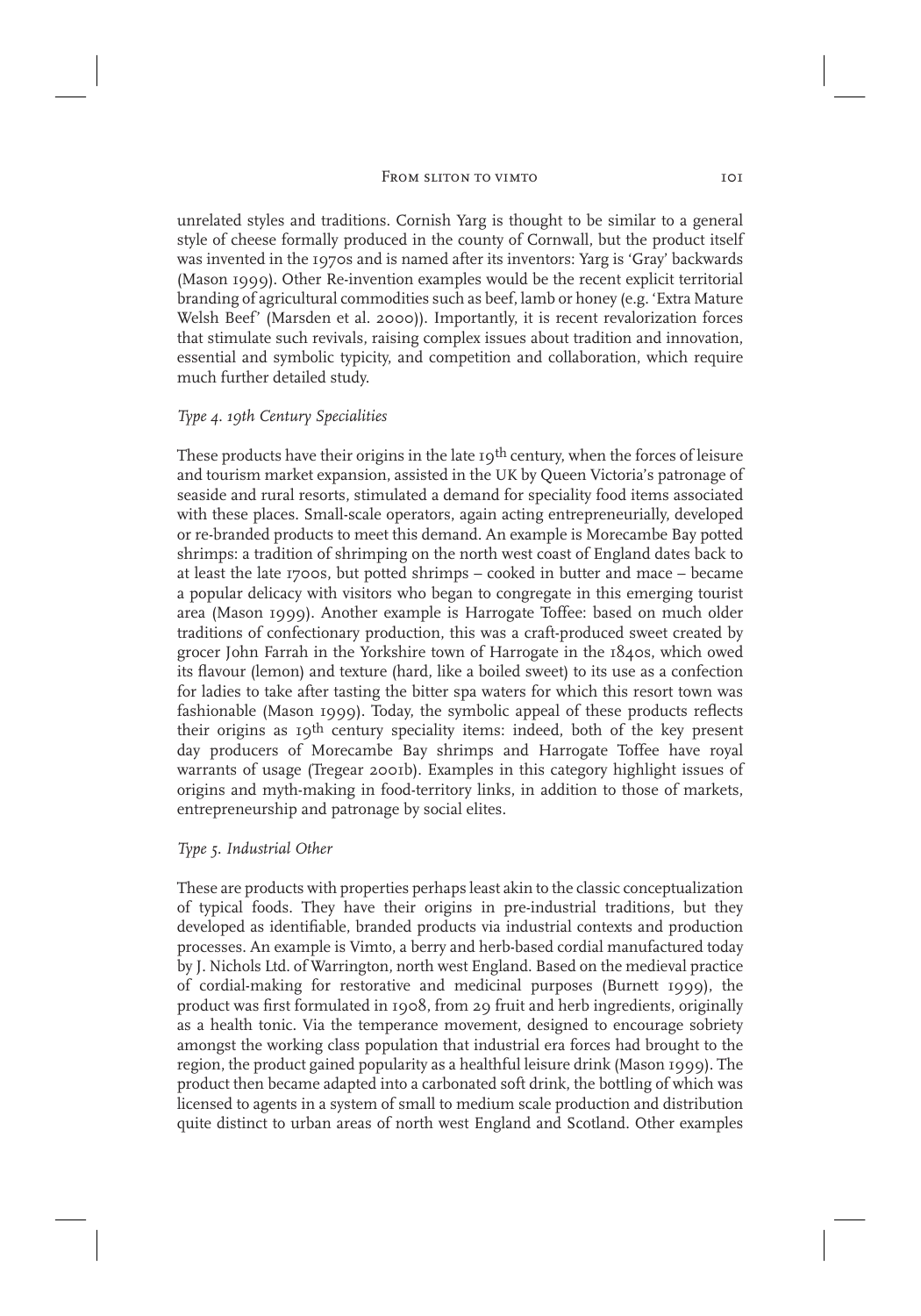unrelated styles and traditions. Cornish Yarg is thought to be similar to a general style of cheese formally produced in the county of Cornwall, but the product itself was invented in the 1970s and is named after its inventors: Yarg is 'Gray' backwards (Mason 1999). Other Re-invention examples would be the recent explicit territorial branding of agricultural commodities such as beef, lamb or honey (e.g. 'Extra Mature Welsh Beef' (Marsden et al. 2000)). Importantly, it is recent revalorization forces that stimulate such revivals, raising complex issues about tradition and innovation, essential and symbolic typicity, and competition and collaboration, which require much further detailed study.

## *Type 4. 19th Century Specialities*

These products have their origins in the late 19<sup>th</sup> century, when the forces of leisure and tourism market expansion, assisted in the UK by Queen Victoria's patronage of seaside and rural resorts, stimulated a demand for speciality food items associated with these places. Small-scale operators, again acting entrepreneurially, developed or re-branded products to meet this demand. An example is Morecambe Bay potted shrimps: a tradition of shrimping on the north west coast of England dates back to at least the late 1700s, but potted shrimps – cooked in butter and mace – became a popular delicacy with visitors who began to congregate in this emerging tourist area (Mason 1999). Another example is Harrogate Toffee: based on much older traditions of confectionary production, this was a craft-produced sweet created by grocer John Farrah in the Yorkshire town of Harrogate in the 1840s, which owed its flavour (lemon) and texture (hard, like a boiled sweet) to its use as a confection for ladies to take after tasting the bitter spa waters for which this resort town was fashionable (Mason 1999). Today, the symbolic appeal of these products reflects their origins as 19th century speciality items: indeed, both of the key present day producers of Morecambe Bay shrimps and Harrogate Toffee have royal warrants of usage (Tregear 2001b). Examples in this category highlight issues of origins and myth-making in food-territory links, in addition to those of markets, entrepreneurship and patronage by social elites.

#### *Type 5. Industrial Other*

These are products with properties perhaps least akin to the classic conceptualization of typical foods. They have their origins in pre-industrial traditions, but they developed as identifiable, branded products via industrial contexts and production processes. An example is Vimto, a berry and herb-based cordial manufactured today by J. Nichols Ltd. of Warrington, north west England. Based on the medieval practice of cordial-making for restorative and medicinal purposes (Burnett 1999), the product was first formulated in 1908, from 29 fruit and herb ingredients, originally as a health tonic. Via the temperance movement, designed to encourage sobriety amongst the working class population that industrial era forces had brought to the region, the product gained popularity as a healthful leisure drink (Mason 1999). The product then became adapted into a carbonated soft drink, the bottling of which was licensed to agents in a system of small to medium scale production and distribution quite distinct to urban areas of north west England and Scotland. Other examples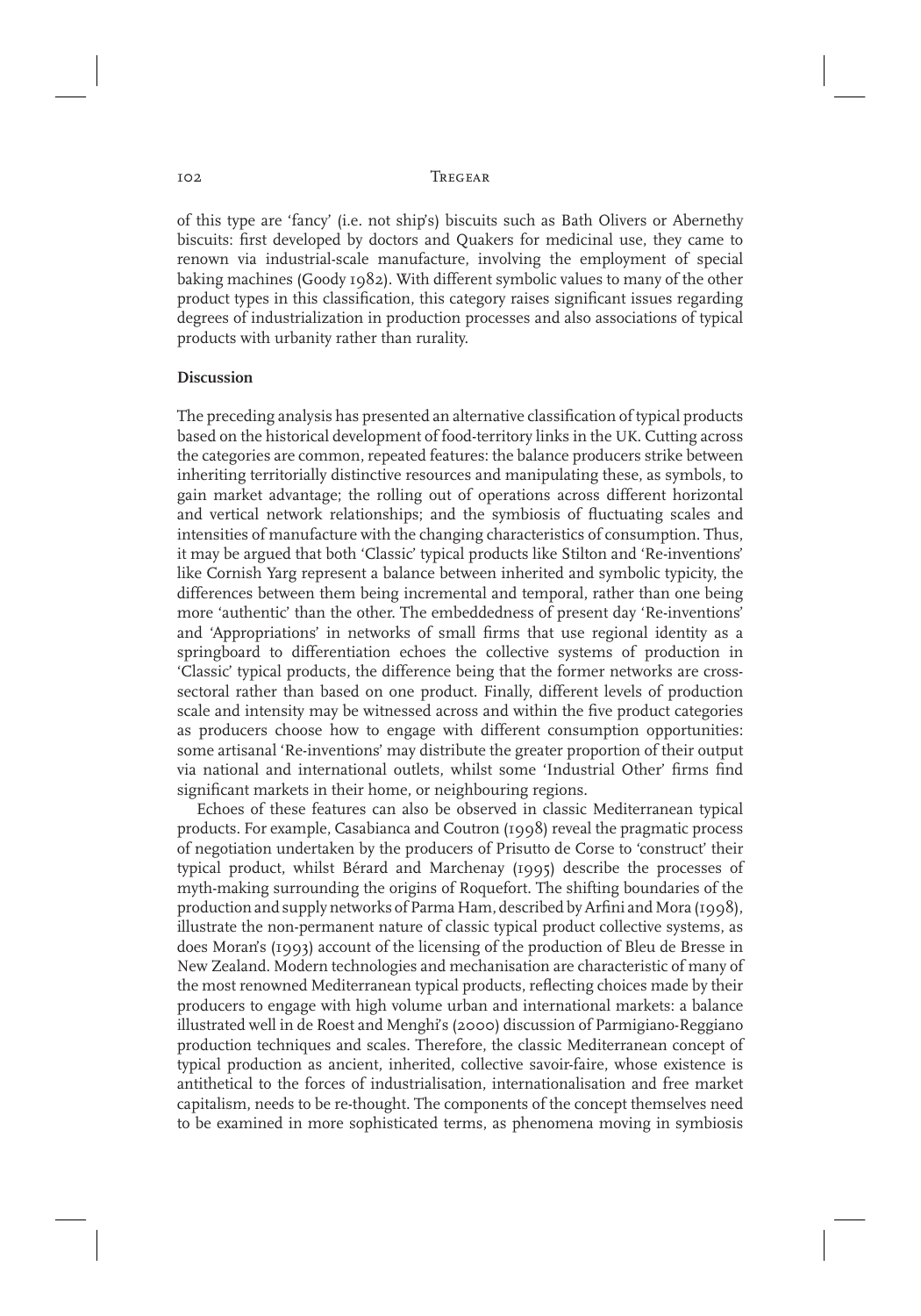of this type are 'fancy' (i.e. not ship's) biscuits such as Bath Olivers or Abernethy biscuits: first developed by doctors and Quakers for medicinal use, they came to renown via industrial-scale manufacture, involving the employment of special baking machines (Goody 1982). With different symbolic values to many of the other product types in this classification, this category raises significant issues regarding degrees of industrialization in production processes and also associations of typical products with urbanity rather than rurality.

#### **Discussion**

The preceding analysis has presented an alternative classification of typical products based on the historical development of food-territory links in the UK. Cutting across the categories are common, repeated features: the balance producers strike between inheriting territorially distinctive resources and manipulating these, as symbols, to gain market advantage; the rolling out of operations across different horizontal and vertical network relationships; and the symbiosis of fluctuating scales and intensities of manufacture with the changing characteristics of consumption. Thus, it may be argued that both 'Classic' typical products like Stilton and 'Re-inventions' like Cornish Yarg represent a balance between inherited and symbolic typicity, the differences between them being incremental and temporal, rather than one being more 'authentic' than the other. The embeddedness of present day 'Re-inventions' and 'Appropriations' in networks of small firms that use regional identity as a springboard to differentiation echoes the collective systems of production in 'Classic' typical products, the difference being that the former networks are crosssectoral rather than based on one product. Finally, different levels of production scale and intensity may be witnessed across and within the five product categories as producers choose how to engage with different consumption opportunities: some artisanal 'Re-inventions' may distribute the greater proportion of their output via national and international outlets, whilst some 'Industrial Other' firms find significant markets in their home, or neighbouring regions.

Echoes of these features can also be observed in classic Mediterranean typical products. For example, Casabianca and Coutron (1998) reveal the pragmatic process of negotiation undertaken by the producers of Prisutto de Corse to 'construct' their typical product, whilst Bérard and Marchenay (1995) describe the processes of myth-making surrounding the origins of Roquefort. The shifting boundaries of the production and supply networks of Parma Ham, described by Arfini and Mora (1998), illustrate the non-permanent nature of classic typical product collective systems, as does Moran's (1993) account of the licensing of the production of Bleu de Bresse in New Zealand. Modern technologies and mechanisation are characteristic of many of the most renowned Mediterranean typical products, reflecting choices made by their producers to engage with high volume urban and international markets: a balance illustrated well in de Roest and Menghi's (2000) discussion of Parmigiano-Reggiano production techniques and scales. Therefore, the classic Mediterranean concept of typical production as ancient, inherited, collective savoir-faire, whose existence is antithetical to the forces of industrialisation, internationalisation and free market capitalism, needs to be re-thought. The components of the concept themselves need to be examined in more sophisticated terms, as phenomena moving in symbiosis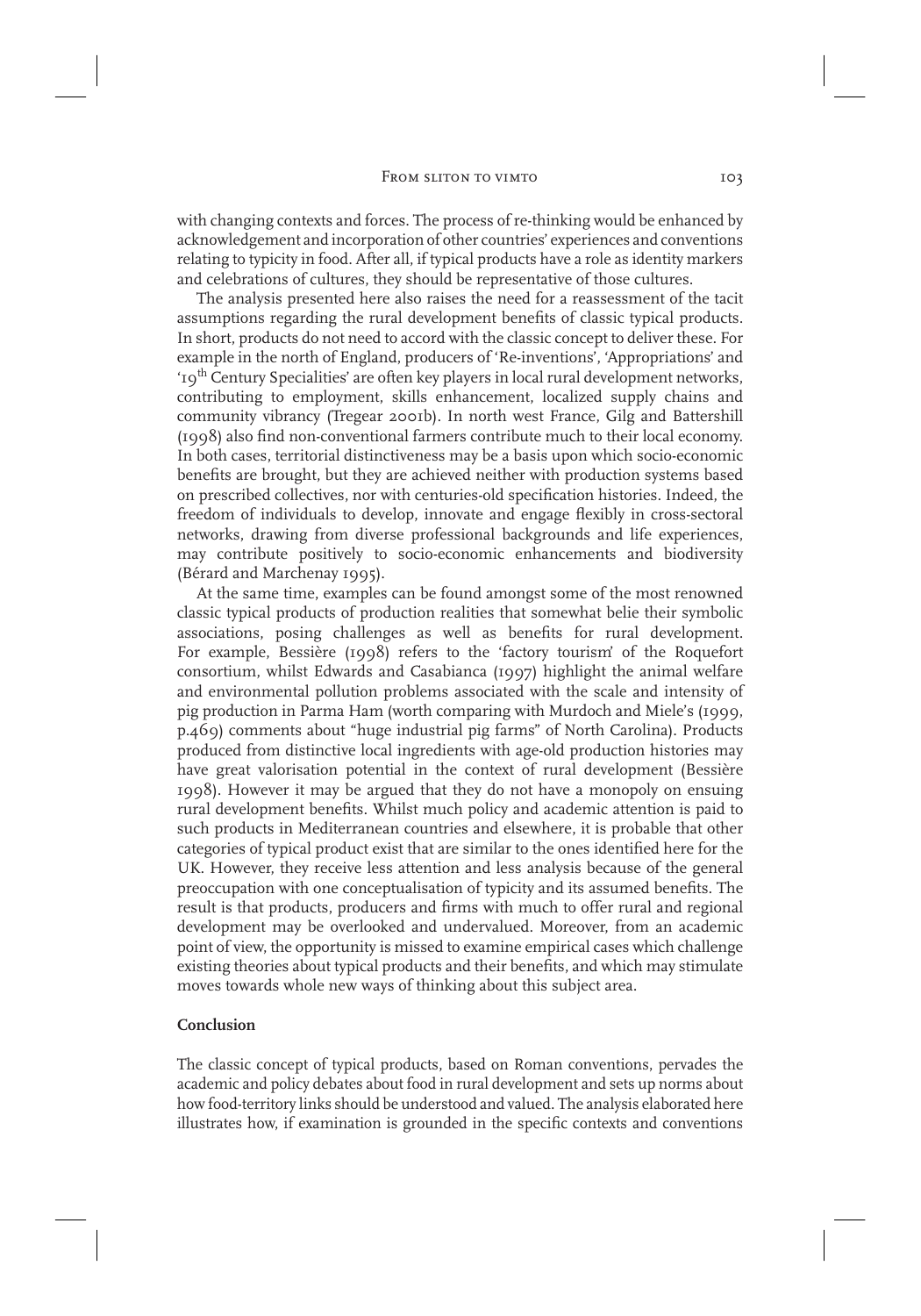with changing contexts and forces. The process of re-thinking would be enhanced by acknowledgement and incorporation of other countries' experiences and conventions relating to typicity in food. After all, if typical products have a role as identity markers and celebrations of cultures, they should be representative of those cultures.

The analysis presented here also raises the need for a reassessment of the tacit assumptions regarding the rural development benefits of classic typical products. In short, products do not need to accord with the classic concept to deliver these. For example in the north of England, producers of 'Re-inventions', 'Appropriations' and '19th Century Specialities' are often key players in local rural development networks, contributing to employment, skills enhancement, localized supply chains and community vibrancy (Tregear 2001b). In north west France, Gilg and Battershill (1998) also find non-conventional farmers contribute much to their local economy. In both cases, territorial distinctiveness may be a basis upon which socio-economic benefits are brought, but they are achieved neither with production systems based on prescribed collectives, nor with centuries-old specification histories. Indeed, the freedom of individuals to develop, innovate and engage flexibly in cross-sectoral networks, drawing from diverse professional backgrounds and life experiences, may contribute positively to socio-economic enhancements and biodiversity (Bérard and Marchenay 1995).

At the same time, examples can be found amongst some of the most renowned classic typical products of production realities that somewhat belie their symbolic associations, posing challenges as well as benefits for rural development. For example, Bessière (1998) refers to the 'factory tourism' of the Roquefort consortium, whilst Edwards and Casabianca (1997) highlight the animal welfare and environmental pollution problems associated with the scale and intensity of pig production in Parma Ham (worth comparing with Murdoch and Miele's (1999, p.469) comments about "huge industrial pig farms" of North Carolina). Products produced from distinctive local ingredients with age-old production histories may have great valorisation potential in the context of rural development (Bessière 1998). However it may be argued that they do not have a monopoly on ensuing rural development benefits. Whilst much policy and academic attention is paid to such products in Mediterranean countries and elsewhere, it is probable that other categories of typical product exist that are similar to the ones identified here for the UK. However, they receive less attention and less analysis because of the general preoccupation with one conceptualisation of typicity and its assumed benefits. The result is that products, producers and firms with much to offer rural and regional development may be overlooked and undervalued. Moreover, from an academic point of view, the opportunity is missed to examine empirical cases which challenge existing theories about typical products and their benefits, and which may stimulate moves towards whole new ways of thinking about this subject area.

#### **Conclusion**

The classic concept of typical products, based on Roman conventions, pervades the academic and policy debates about food in rural development and sets up norms about how food-territory links should be understood and valued. The analysis elaborated here illustrates how, if examination is grounded in the specific contexts and conventions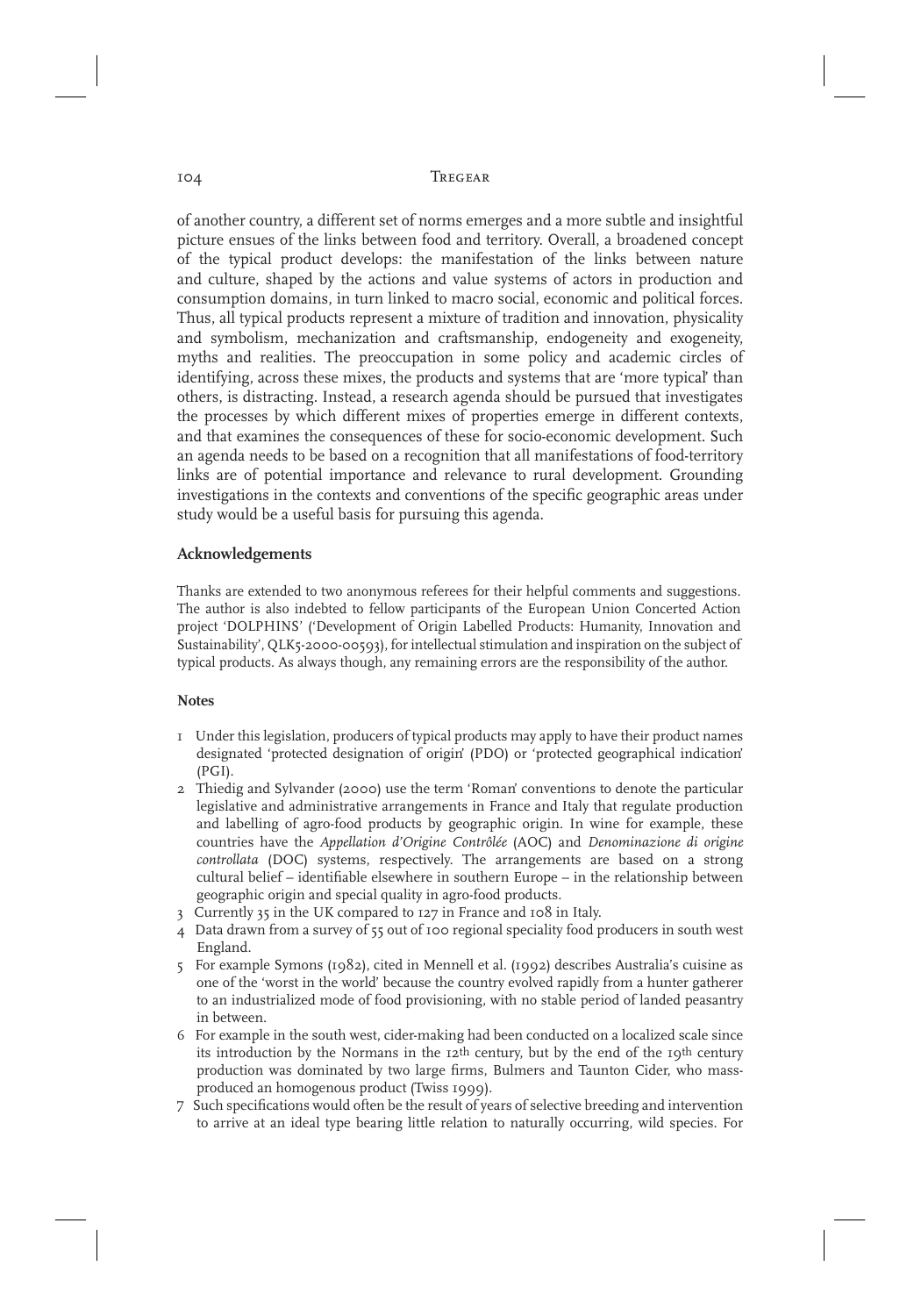of another country, a different set of norms emerges and a more subtle and insightful picture ensues of the links between food and territory. Overall, a broadened concept of the typical product develops: the manifestation of the links between nature and culture, shaped by the actions and value systems of actors in production and consumption domains, in turn linked to macro social, economic and political forces. Thus, all typical products represent a mixture of tradition and innovation, physicality and symbolism, mechanization and craftsmanship, endogeneity and exogeneity, myths and realities. The preoccupation in some policy and academic circles of identifying, across these mixes, the products and systems that are 'more typical' than others, is distracting. Instead, a research agenda should be pursued that investigates the processes by which different mixes of properties emerge in different contexts, and that examines the consequences of these for socio-economic development. Such an agenda needs to be based on a recognition that all manifestations of food-territory links are of potential importance and relevance to rural development. Grounding investigations in the contexts and conventions of the specific geographic areas under study would be a useful basis for pursuing this agenda.

# **Acknowledgements**

Thanks are extended to two anonymous referees for their helpful comments and suggestions. The author is also indebted to fellow participants of the European Union Concerted Action project 'DOLPHINS' ('Development of Origin Labelled Products: Humanity, Innovation and Sustainability', QLK5-2000-00593), for intellectual stimulation and inspiration on the subject of typical products. As always though, any remaining errors are the responsibility of the author.

## **Notes**

- 1 Under this legislation, producers of typical products may apply to have their product names designated 'protected designation of origin' (PDO) or 'protected geographical indication' (PGI).
- 2 Thiedig and Sylvander (2000) use the term 'Roman' conventions to denote the particular legislative and administrative arrangements in France and Italy that regulate production and labelling of agro-food products by geographic origin. In wine for example, these countries have the *Appellation d'Origine Contrôlée* (AOC) and *Denominazione di origine controllata* (DOC) systems, respectively. The arrangements are based on a strong cultural belief – identifiable elsewhere in southern Europe – in the relationship between geographic origin and special quality in agro-food products.
- 3 Currently 35 in the UK compared to 127 in France and 108 in Italy.
- 4 Data drawn from a survey of 55 out of 100 regional speciality food producers in south west England.
- 5 For example Symons (1982), cited in Mennell et al. (1992) describes Australia's cuisine as one of the 'worst in the world' because the country evolved rapidly from a hunter gatherer to an industrialized mode of food provisioning, with no stable period of landed peasantry in between.
- 6 For example in the south west, cider-making had been conducted on a localized scale since its introduction by the Normans in the 12th century, but by the end of the 19th century production was dominated by two large firms, Bulmers and Taunton Cider, who massproduced an homogenous product (Twiss 1999).
- 7 Such specifications would often be the result of years of selective breeding and intervention to arrive at an ideal type bearing little relation to naturally occurring, wild species. For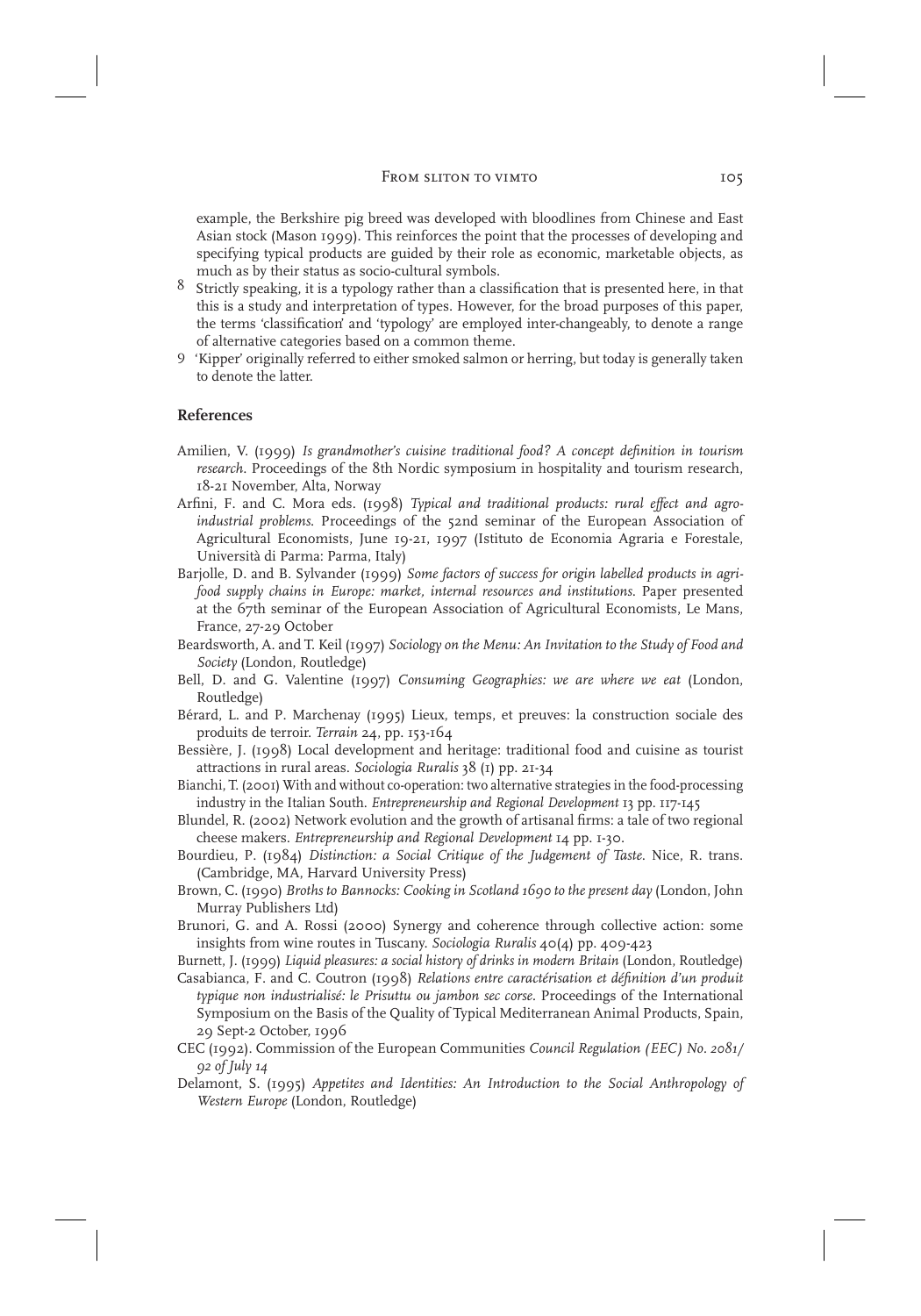example, the Berkshire pig breed was developed with bloodlines from Chinese and East Asian stock (Mason 1999). This reinforces the point that the processes of developing and specifying typical products are guided by their role as economic, marketable objects, as much as by their status as socio-cultural symbols.

- 8 Strictly speaking, it is a typology rather than a classification that is presented here, in that this is a study and interpretation of types. However, for the broad purposes of this paper, the terms 'classification' and 'typology' are employed inter-changeably, to denote a range of alternative categories based on a common theme.
- 9 'Kipper' originally referred to either smoked salmon or herring, but today is generally taken to denote the latter.

## **References**

- Amilien, V. (1999) *Is grandmother's cuisine traditional food? A concept definition in tourism research*. Proceedings of the 8th Nordic symposium in hospitality and tourism research, 18-21 November, Alta, Norway
- Arfini, F. and C. Mora eds. (1998) *Typical and traditional products: rural effect and agroindustrial problems*. Proceedings of the 52nd seminar of the European Association of Agricultural Economists, June 19-21, 1997 (Istituto de Economia Agraria e Forestale, Università di Parma: Parma, Italy)
- Barjolle, D. and B. Sylvander (1999) *Some factors of success for origin labelled products in agrifood supply chains in Europe: market, internal resources and institutions*. Paper presented at the 67th seminar of the European Association of Agricultural Economists, Le Mans, France, 27-29 October
- Beardsworth, A. and T. Keil (1997) *Sociology on the Menu: An Invitation to the Study of Food and Society* (London, Routledge)
- Bell, D. and G. Valentine (1997) *Consuming Geographies: we are where we eat* (London, Routledge)
- Bérard, L. and P. Marchenay (1995) Lieux, temps, et preuves: la construction sociale des produits de terroir. *Terrain* 24, pp. 153-164
- Bessière, J. (1998) Local development and heritage: traditional food and cuisine as tourist attractions in rural areas. *Sociologia Ruralis* 38 (1) pp. 21-34
- Bianchi, T. (2001) With and without co-operation: two alternative strategies in the food-processing industry in the Italian South. *Entrepreneurship and Regional Development* 13 pp. 117-145
- Blundel, R. (2002) Network evolution and the growth of artisanal firms: a tale of two regional cheese makers. *Entrepreneurship and Regional Development* 14 pp. 1-30.
- Bourdieu, P. (1984) *Distinction: a Social Critique of the Judgement of Taste*. Nice, R. trans. (Cambridge, MA, Harvard University Press)
- Brown, C. (1990) *Broths to Bannocks: Cooking in Scotland 1690 to the present day* (London, John Murray Publishers Ltd)
- Brunori, G. and A. Rossi (2000) Synergy and coherence through collective action: some insights from wine routes in Tuscany. *Sociologia Ruralis* 40(4) pp. 409-423
- Burnett, J. (1999) *Liquid pleasures: a social history of drinks in modern Britain* (London, Routledge)
- Casabianca, F. and C. Coutron (1998) *Relations entre caractérisation et définition d'un produit typique non industrialisé: le Prisuttu ou jambon sec corse.* Proceedings of the International Symposium on the Basis of the Quality of Typical Mediterranean Animal Products, Spain, 29 Sept-2 October, 1996
- CEC (1992). Commission of the European Communities *Council Regulation (EEC) No. 2081/ 92 of July 14*
- Delamont, S. (1995) *Appetites and Identities: An Introduction to the Social Anthropology of Western Europe* (London, Routledge)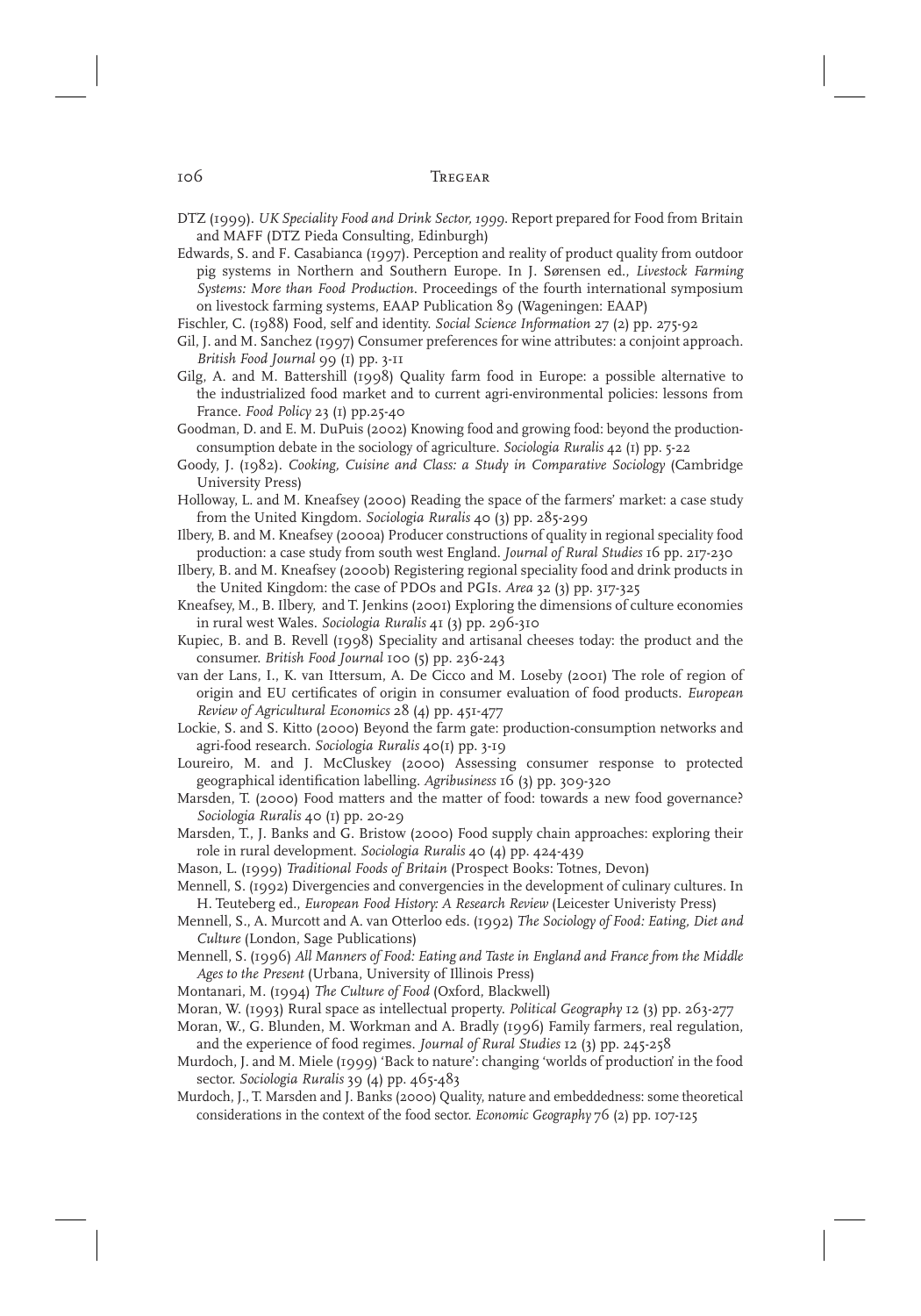DTZ (1999). *UK Speciality Food and Drink Sector, 1999*. Report prepared for Food from Britain and MAFF (DTZ Pieda Consulting, Edinburgh)

Edwards, S. and F. Casabianca (1997). Perception and reality of product quality from outdoor pig systems in Northern and Southern Europe. In J. Sørensen ed., *Livestock Farming Systems: More than Food Production*. Proceedings of the fourth international symposium on livestock farming systems, EAAP Publication 89 (Wageningen: EAAP)

- Fischler, C. (1988) Food, self and identity. *Social Science Information* 27 (2) pp. 275-92
- Gil, J. and M. Sanchez (1997) Consumer preferences for wine attributes: a conjoint approach. *British Food Journal* 99 (1) pp. 3-11
- Gilg, A. and M. Battershill (1998) Quality farm food in Europe: a possible alternative to the industrialized food market and to current agri-environmental policies: lessons from France. *Food Policy* 23 (1) pp.25-40
- Goodman, D. and E. M. DuPuis (2002) Knowing food and growing food: beyond the productionconsumption debate in the sociology of agriculture. *Sociologia Ruralis* 42 (1) pp. 5-22
- Goody, J. (1982). *Cooking, Cuisine and Class: a Study in Comparative Sociology* (Cambridge University Press)
- Holloway, L. and M. Kneafsey (2000) Reading the space of the farmers' market: a case study from the United Kingdom. *Sociologia Ruralis* 40 (3) pp. 285-299
- Ilbery, B. and M. Kneafsey (2000a) Producer constructions of quality in regional speciality food production: a case study from south west England. *Journal of Rural Studies* 16 pp. 217-230
- Ilbery, B. and M. Kneafsey (2000b) Registering regional speciality food and drink products in the United Kingdom: the case of PDOs and PGIs. *Area* 32 (3) pp. 317-325
- Kneafsey, M., B. Ilbery, and T. Jenkins (2001) Exploring the dimensions of culture economies in rural west Wales. *Sociologia Ruralis* 41 (3) pp. 296-310
- Kupiec, B. and B. Revell (1998) Speciality and artisanal cheeses today: the product and the consumer. *British Food Journal* 100 (5) pp. 236-243
- van der Lans, I., K. van Ittersum, A. De Cicco and M. Loseby (2001) The role of region of origin and EU certificates of origin in consumer evaluation of food products. *European Review of Agricultural Economics* 28 (4) pp. 451-477
- Lockie, S. and S. Kitto (2000) Beyond the farm gate: production-consumption networks and agri-food research. *Sociologia Ruralis* 40(1) pp. 3-19
- Loureiro, M. and J. McCluskey (2000) Assessing consumer response to protected geographical identification labelling. *Agribusiness* 16 (3) pp. 309-320
- Marsden, T. (2000) Food matters and the matter of food: towards a new food governance? *Sociologia Ruralis* 40 (1) pp. 20-29

Marsden, T., J. Banks and G. Bristow (2000) Food supply chain approaches: exploring their role in rural development. *Sociologia Ruralis* 40 (4) pp. 424-439

- Mason, L. (1999) *Traditional Foods of Britain* (Prospect Books: Totnes, Devon)
- Mennell, S. (1992) Divergencies and convergencies in the development of culinary cultures. In H. Teuteberg ed., *European Food History: A Research Review* (Leicester Univeristy Press)
- Mennell, S., A. Murcott and A. van Otterloo eds. (1992) *The Sociology of Food: Eating, Diet and Culture* (London, Sage Publications)
- Mennell, S. (1996) *All Manners of Food: Eating and Taste in England and France from the Middle Ages to the Present* (Urbana, University of Illinois Press)
- Montanari, M. (1994) *The Culture of Food* (Oxford, Blackwell)
- Moran, W. (1993) Rural space as intellectual property. *Political Geography* 12 (3) pp. 263-277
- Moran, W., G. Blunden, M. Workman and A. Bradly (1996) Family farmers, real regulation, and the experience of food regimes. *Journal of Rural Studies* 12 (3) pp. 245-258
- Murdoch, J. and M. Miele (1999) 'Back to nature': changing 'worlds of production' in the food sector. *Sociologia Ruralis* 39 (4) pp. 465-483
- Murdoch, J., T. Marsden and J. Banks (2000) Quality, nature and embeddedness: some theoretical considerations in the context of the food sector. *Economic Geography* 76 (2) pp. 107-125